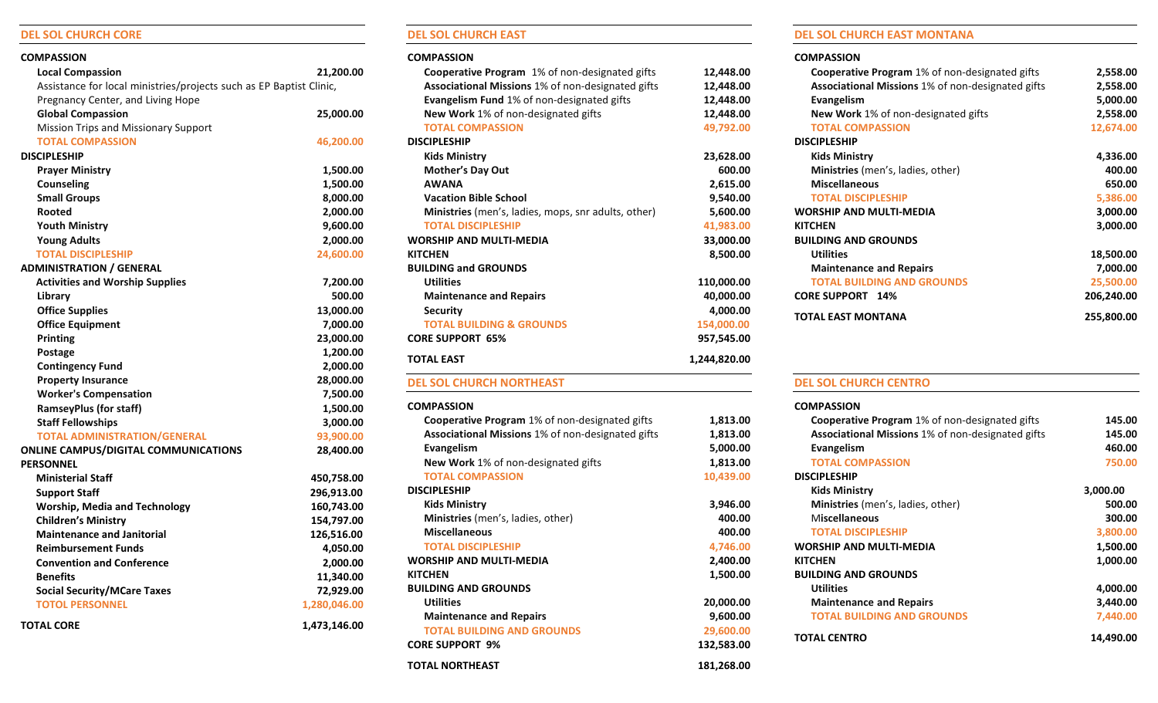## **DEL SOL CHURCH CORE**

| <b>COMPASSION</b>                                                   |              |
|---------------------------------------------------------------------|--------------|
| <b>Local Compassion</b>                                             | 21,200.00    |
| Assistance for local ministries/projects such as EP Baptist Clinic, |              |
| Pregnancy Center, and Living Hope                                   |              |
| <b>Global Compassion</b>                                            | 25,000.00    |
| Mission Trips and Missionary Support                                |              |
| <b>TOTAL COMPASSION</b>                                             | 46,200.00    |
| <b>DISCIPLESHIP</b>                                                 |              |
| <b>Prayer Ministry</b>                                              | 1,500.00     |
| <b>Counseling</b>                                                   | 1,500.00     |
| <b>Small Groups</b>                                                 | 8,000.00     |
| Rooted                                                              | 2,000.00     |
| <b>Youth Ministry</b>                                               | 9,600.00     |
| <b>Young Adults</b>                                                 | 2,000.00     |
| <b>TOTAL DISCIPLESHIP</b>                                           | 24,600.00    |
| <b>ADMINISTRATION / GENERAL</b>                                     |              |
| <b>Activities and Worship Supplies</b>                              | 7,200.00     |
| Library                                                             | 500.00       |
| <b>Office Supplies</b>                                              | 13,000.00    |
| <b>Office Equipment</b>                                             | 7,000.00     |
| Printing                                                            | 23,000.00    |
| Postage                                                             | 1,200.00     |
| <b>Contingency Fund</b>                                             | 2,000.00     |
| <b>Property Insurance</b>                                           | 28,000.00    |
| <b>Worker's Compensation</b>                                        | 7,500.00     |
| <b>RamseyPlus (for staff)</b>                                       | 1,500.00     |
| <b>Staff Fellowships</b>                                            | 3,000.00     |
| <b>TOTAL ADMINISTRATION/GENERAL</b>                                 | 93,900.00    |
| <b>ONLINE CAMPUS/DIGITAL COMMUNICATIONS</b>                         | 28,400.00    |
| <b>PERSONNEL</b>                                                    |              |
| <b>Ministerial Staff</b>                                            | 450,758.00   |
| <b>Support Staff</b>                                                | 296,913.00   |
| <b>Worship, Media and Technology</b>                                | 160,743.00   |
| <b>Children's Ministry</b>                                          | 154,797.00   |
| <b>Maintenance and Janitorial</b>                                   | 126,516.00   |
| <b>Reimbursement Funds</b>                                          | 4,050.00     |
| <b>Convention and Conference</b>                                    | 2,000.00     |
| <b>Benefits</b>                                                     | 11,340.00    |
| <b>Social Security/MCare Taxes</b>                                  | 72,929.00    |
| <b>TOTOL PERSONNEL</b>                                              | 1,280,046.00 |
| <b>TOTAL CORE</b>                                                   | 1,473,146.00 |

## **DEL SOL CHURCH EAST**

## **COMPASSION**

| Cooperative Program 1% of non-designated gifts                 | 12,448.00             |
|----------------------------------------------------------------|-----------------------|
| Associational Missions 1% of non-designated gifts              | 12,448.00             |
| Evangelism Fund 1% of non-designated gifts                     | 12,448.00             |
| New Work 1% of non-designated gifts                            | 12,448.00             |
| <b>TOTAL COMPASSION</b>                                        | 49,792.00             |
| <b>DISCIPLESHIP</b>                                            |                       |
| <b>Kids Ministry</b>                                           | 23,628.00             |
| <b>Mother's Day Out</b>                                        | 600.00                |
| <b>AWANA</b>                                                   | 2,615.00              |
| <b>Vacation Bible School</b>                                   | 9,540.00              |
| Ministries (men's, ladies, mops, snr adults, other)            | 5,600.00              |
| <b>TOTAL DISCIPLESHIP</b>                                      | 41,983.00             |
| <b>WORSHIP AND MULTI-MEDIA</b>                                 | 33,000.00             |
| KITCHEN                                                        | 8,500.00              |
| <b>BUILDING and GROUNDS</b>                                    |                       |
| <b>Utilities</b>                                               | 110,000.00            |
| <b>Maintenance and Repairs</b>                                 | 40,000.00             |
| <b>Security</b>                                                | 4,000.00              |
| <b>TOTAL BUILDING &amp; GROUNDS</b>                            | 154,000.00            |
| <b>CORE SUPPORT 65%</b>                                        | 957,545.00            |
| <b>TOTAL EAST</b>                                              | 1,244,820.00          |
|                                                                |                       |
| <b>DEL SOL CHURCH NORTHEAST</b>                                |                       |
| <b>COMPASSION</b>                                              |                       |
|                                                                |                       |
| Cooperative Program 1% of non-designated gifts                 | 1,813.00              |
| Associational Missions 1% of non-designated gifts              | 1,813.00              |
| <b>Evangelism</b>                                              | 5,000.00              |
| New Work 1% of non-designated gifts<br><b>TOTAL COMPASSION</b> | 1,813.00              |
| <b>DISCIPLESHIP</b>                                            | 10,439.00             |
|                                                                |                       |
| <b>Kids Ministry</b>                                           | 3,946.00              |
| Ministries (men's, ladies, other)<br><b>Miscellaneous</b>      | 400.00                |
| <b>TOTAL DISCIPLESHIP</b>                                      | 400.00                |
| <b>WORSHIP AND MULTI-MEDIA</b>                                 | 4,746.00              |
| <b>KITCHEN</b>                                                 | 2,400.00              |
| <b>BUILDING AND GROUNDS</b>                                    | 1,500.00              |
| <b>Utilities</b>                                               |                       |
| <b>Maintenance and Repairs</b>                                 | 20,000.00<br>9,600.00 |
| <b>TOTAL BUILDING AND GROUNDS</b>                              | 29,600.00             |
| <b>CORE SUPPORT 9%</b>                                         | 132,583.00            |
| <b>TOTAL NORTHEAST</b>                                         | 181,268.00            |

## **DEL SOL CHURCH EAST MONTANA**

#### **COMPASSION**

| <b>Cooperative Program</b> 1% of non-designated gifts    | 2,558.00   |
|----------------------------------------------------------|------------|
| <b>Associational Missions 1% of non-designated gifts</b> | 2,558.00   |
| <b>Evangelism</b>                                        | 5,000.00   |
| <b>New Work</b> 1% of non-designated gifts               | 2,558.00   |
| <b>TOTAL COMPASSION</b>                                  | 12,674.00  |
| <b>DISCIPLESHIP</b>                                      |            |
| <b>Kids Ministry</b>                                     | 4,336.00   |
| <b>Ministries</b> (men's, ladies, other)                 | 400.00     |
| <b>Miscellaneous</b>                                     | 650.00     |
| <b>TOTAL DISCIPLESHIP</b>                                | 5,386.00   |
| <b>WORSHIP AND MULTI-MEDIA</b>                           | 3,000.00   |
| <b>KITCHEN</b>                                           | 3,000.00   |
| <b>BUILDING AND GROUNDS</b>                              |            |
| <b>Utilities</b>                                         | 18,500.00  |
| <b>Maintenance and Repairs</b>                           | 7,000.00   |
| <b>TOTAL BUILDING AND GROUNDS</b>                        | 25,500.00  |
| <b>CORE SUPPORT 14%</b>                                  | 206,240.00 |
| TOTAL EAST MONTANA                                       | 255,800.00 |

## **DEL SOL CHURCH CENTRO**

| 145.00    |
|-----------|
| 145.00    |
| 460.00    |
| 750.00    |
|           |
| 3,000.00  |
| 500.00    |
| 300.00    |
| 3,800.00  |
| 1,500.00  |
| 1,000.00  |
|           |
| 4,000.00  |
| 3,440.00  |
| 7,440.00  |
| 14,490.00 |
|           |